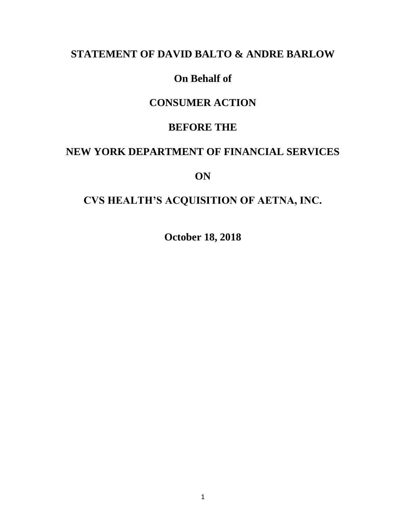### **STATEMENT OF DAVID BALTO & ANDRE BARLOW**

## **On Behalf of**

# **CONSUMER ACTION**

### **BEFORE THE**

## **NEW YORK DEPARTMENT OF FINANCIAL SERVICES**

**ON**

# **CVS HEALTH'S ACQUISITION OF AETNA, INC.**

**October 18, 2018**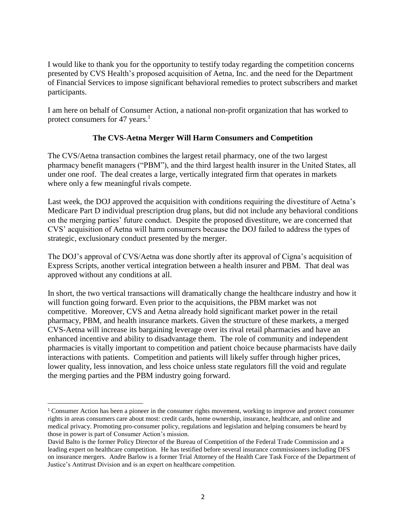I would like to thank you for the opportunity to testify today regarding the competition concerns presented by CVS Health's proposed acquisition of Aetna, Inc. and the need for the Department of Financial Services to impose significant behavioral remedies to protect subscribers and market participants.

I am here on behalf of Consumer Action, a national non-profit organization that has worked to protect consumers for 47 years.<sup>1</sup>

#### **The CVS-Aetna Merger Will Harm Consumers and Competition**

The CVS/Aetna transaction combines the largest retail pharmacy, one of the two largest pharmacy benefit managers ("PBM"), and the third largest health insurer in the United States, all under one roof. The deal creates a large, vertically integrated firm that operates in markets where only a few meaningful rivals compete.

Last week, the DOJ approved the acquisition with conditions requiring the divestiture of Aetna's Medicare Part D individual prescription drug plans, but did not include any behavioral conditions on the merging parties' future conduct. Despite the proposed divestiture, we are concerned that CVS' acquisition of Aetna will harm consumers because the DOJ failed to address the types of strategic, exclusionary conduct presented by the merger.

The DOJ's approval of CVS/Aetna was done shortly after its approval of Cigna's acquisition of Express Scripts, another vertical integration between a health insurer and PBM. That deal was approved without any conditions at all.

In short, the two vertical transactions will dramatically change the healthcare industry and how it will function going forward. Even prior to the acquisitions, the PBM market was not competitive. Moreover, CVS and Aetna already hold significant market power in the retail pharmacy, PBM, and health insurance markets. Given the structure of these markets, a merged CVS-Aetna will increase its bargaining leverage over its rival retail pharmacies and have an enhanced incentive and ability to disadvantage them. The role of community and independent pharmacies is vitally important to competition and patient choice because pharmacists have daily interactions with patients. Competition and patients will likely suffer through higher prices, lower quality, less innovation, and less choice unless state regulators fill the void and regulate the merging parties and the PBM industry going forward.

l

<sup>1</sup> Consumer Action has been a pioneer in the consumer rights movement, working to improve and protect consumer rights in areas consumers care about most: credit cards, home ownership, insurance, healthcare, and online and medical privacy. Promoting pro-consumer policy, regulations and legislation and helping consumers be heard by those in power is part of Consumer Action's mission.

David Balto is the former Policy Director of the Bureau of Competition of the Federal Trade Commission and a leading expert on healthcare competition. He has testified before several insurance commissioners including DFS on insurance mergers. Andre Barlow is a former Trial Attorney of the Health Care Task Force of the Department of Justice's Antitrust Division and is an expert on healthcare competition.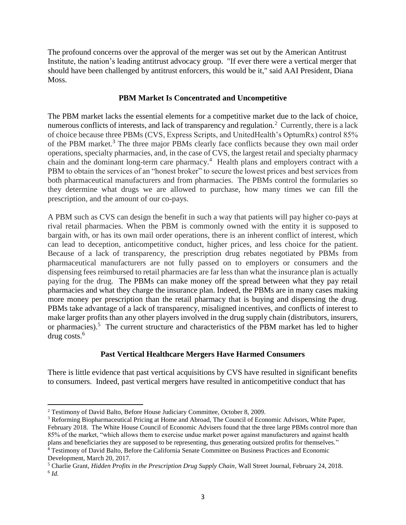The profound concerns over the approval of the merger was set out by the American Antitrust Institute, the nation's leading antitrust advocacy group. "If ever there were a vertical merger that should have been challenged by antitrust enforcers, this would be it," said AAI President, Diana Moss.

#### **PBM Market Is Concentrated and Uncompetitive**

The PBM market lacks the essential elements for a competitive market due to the lack of choice, numerous conflicts of interests, and lack of transparency and regulation.<sup>2</sup> Currently, there is a lack of choice because three PBMs (CVS, Express Scripts, and UnitedHealth's OptumRx) control 85% of the PBM market.<sup>3</sup> The three major PBMs clearly face conflicts because they own mail order operations, specialty pharmacies, and, in the case of CVS, the largest retail and specialty pharmacy chain and the dominant long-term care pharmacy.<sup>4</sup> Health plans and employers contract with a PBM to obtain the services of an "honest broker" to secure the lowest prices and best services from both pharmaceutical manufacturers and from pharmacies. The PBMs control the formularies so they determine what drugs we are allowed to purchase, how many times we can fill the prescription, and the amount of our co-pays.

A PBM such as CVS can design the benefit in such a way that patients will pay higher co-pays at rival retail pharmacies. When the PBM is commonly owned with the entity it is supposed to bargain with, or has its own mail order operations, there is an inherent conflict of interest, which can lead to deception, anticompetitive conduct, higher prices, and less choice for the patient. Because of a lack of transparency, the prescription drug rebates negotiated by PBMs from pharmaceutical manufacturers are not fully passed on to employers or consumers and the dispensing fees reimbursed to retail pharmacies are far less than what the insurance plan is actually paying for the drug. The PBMs can make money off the spread between what they pay retail pharmacies and what they charge the insurance plan. Indeed, the PBMs are in many cases making more money per prescription than the retail pharmacy that is buying and dispensing the drug. PBMs take advantage of a lack of transparency, misaligned incentives, and conflicts of interest to make larger profits than any other players involved in the drug supply chain (distributors, insurers, or pharmacies).<sup>5</sup> The current structure and characteristics of the PBM market has led to higher drug costs.<sup>6</sup>

#### **Past Vertical Healthcare Mergers Have Harmed Consumers**

There is little evidence that past vertical acquisitions by CVS have resulted in significant benefits to consumers. Indeed, past vertical mergers have resulted in anticompetitive conduct that has

 $\overline{\phantom{a}}$ <sup>2</sup> Testimony of David Balto, Before House Judiciary Committee, October 8, 2009.

<sup>&</sup>lt;sup>3</sup> Reforming Biopharmaceutical Pricing at Home and Abroad, The Council of Economic Advisors, White Paper, February 2018. The White House Council of Economic Advisers found that the three large PBMs control more than 85% of the market, "which allows them to exercise undue market power against manufacturers and against health plans and beneficiaries they are supposed to be representing, thus generating outsized profits for themselves." <sup>4</sup> Testimony of David Balto, Before the California Senate Committee on Business Practices and Economic Development, March 20, 2017.

<sup>5</sup> Charlie Grant, *Hidden Profits in the Prescription Drug Supply Chain*, Wall Street Journal, February 24, 2018. 6 *Id.*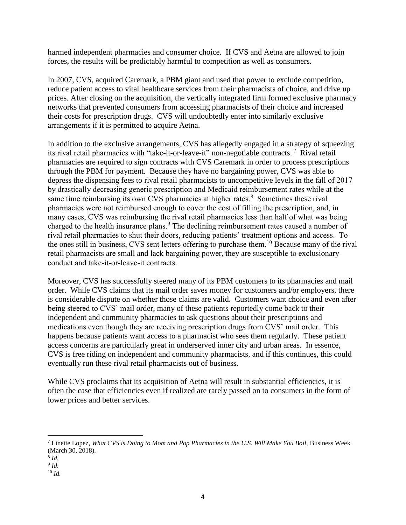harmed independent pharmacies and consumer choice. If CVS and Aetna are allowed to join forces, the results will be predictably harmful to competition as well as consumers.

In 2007, CVS, acquired Caremark, a PBM giant and used that power to exclude competition, reduce patient access to vital healthcare services from their pharmacists of choice, and drive up prices. After closing on the acquisition, the vertically integrated firm formed exclusive pharmacy networks that prevented consumers from accessing pharmacists of their choice and increased their costs for prescription drugs. CVS will undoubtedly enter into similarly exclusive arrangements if it is permitted to acquire Aetna.

In addition to the exclusive arrangements, CVS has allegedly engaged in a strategy of squeezing its rival retail pharmacies with "take-it-or-leave-it" non-negotiable contracts. <sup>7</sup> Rival retail pharmacies are required to sign contracts with CVS Caremark in order to process prescriptions through the PBM for payment. Because they have no bargaining power, CVS was able to depress the dispensing fees to rival retail pharmacists to uncompetitive levels in the fall of 2017 by drastically decreasing generic prescription and Medicaid reimbursement rates while at the same time reimbursing its own CVS pharmacies at higher rates.<sup>8</sup> Sometimes these rival pharmacies were not reimbursed enough to cover the cost of filling the prescription, and, in many cases, CVS was reimbursing the rival retail pharmacies less than half of what was being charged to the health insurance plans.<sup>9</sup> The declining reimbursement rates caused a number of rival retail pharmacies to shut their doors, reducing patients' treatment options and access. To the ones still in business, CVS sent letters offering to purchase them.<sup>10</sup> Because many of the rival retail pharmacists are small and lack bargaining power, they are susceptible to exclusionary conduct and take-it-or-leave-it contracts.

Moreover, CVS has successfully steered many of its PBM customers to its pharmacies and mail order. While CVS claims that its mail order saves money for customers and/or employers, there is considerable dispute on whether those claims are valid. Customers want choice and even after being steered to CVS' mail order, many of these patients reportedly come back to their independent and community pharmacies to ask questions about their prescriptions and medications even though they are receiving prescription drugs from CVS' mail order. This happens because patients want access to a pharmacist who sees them regularly. These patient access concerns are particularly great in underserved inner city and urban areas. In essence, CVS is free riding on independent and community pharmacists, and if this continues, this could eventually run these rival retail pharmacists out of business.

While CVS proclaims that its acquisition of Aetna will result in substantial efficiencies, it is often the case that efficiencies even if realized are rarely passed on to consumers in the form of lower prices and better services.

 $\overline{a}$ 

<sup>7</sup> Linette Lopez, *What CVS is Doing to Mom and Pop Pharmacies in the U.S. Will Make You Boil,* Business Week (March 30, 2018).

<sup>8</sup> *Id.*

<sup>9</sup> *Id.*

<sup>10</sup> *Id.*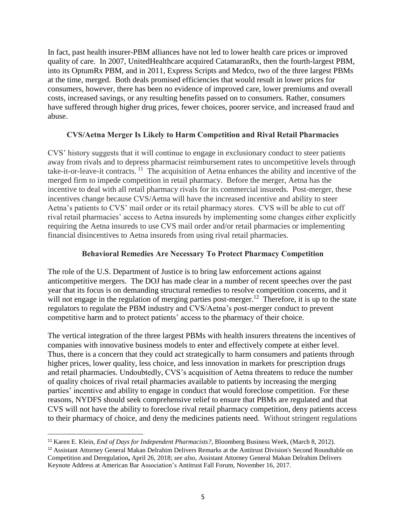In fact, past health insurer-PBM alliances have not led to lower health care prices or improved quality of care. In 2007, UnitedHealthcare acquired CatamaranRx, then the fourth-largest PBM, into its OptumRx PBM, and in 2011, Express Scripts and Medco, two of the three largest PBMs at the time, merged. Both deals promised efficiencies that would result in lower prices for consumers, however, there has been no evidence of improved care, lower premiums and overall costs, increased savings, or any resulting benefits passed on to consumers. Rather, consumers have suffered through higher drug prices, fewer choices, poorer service, and increased fraud and abuse.

#### **CVS/Aetna Merger Is Likely to Harm Competition and Rival Retail Pharmacies**

CVS' history suggests that it will continue to engage in exclusionary conduct to steer patients away from rivals and to depress pharmacist reimbursement rates to uncompetitive levels through take-it-or-leave-it contracts.<sup>11</sup> The acquisition of Aetna enhances the ability and incentive of the merged firm to impede competition in retail pharmacy. Before the merger, Aetna has the incentive to deal with all retail pharmacy rivals for its commercial insureds. Post-merger, these incentives change because CVS/Aetna will have the increased incentive and ability to steer Aetna's patients to CVS' mail order or its retail pharmacy stores. CVS will be able to cut off rival retail pharmacies' access to Aetna insureds by implementing some changes either explicitly requiring the Aetna insureds to use CVS mail order and/or retail pharmacies or implementing financial disincentives to Aetna insureds from using rival retail pharmacies.

#### **Behavioral Remedies Are Necessary To Protect Pharmacy Competition**

The role of the U.S. Department of Justice is to bring law enforcement actions against anticompetitive mergers. The DOJ has made clear in a number of recent speeches over the past year that its focus is on demanding structural remedies to resolve competition concerns, and it will not engage in the regulation of merging parties post-merger.<sup>12</sup> Therefore, it is up to the state regulators to regulate the PBM industry and CVS/Aetna's post-merger conduct to prevent competitive harm and to protect patients' access to the pharmacy of their choice.

The vertical integration of the three largest PBMs with health insurers threatens the incentives of companies with innovative business models to enter and effectively compete at either level. Thus, there is a concern that they could act strategically to harm consumers and patients through higher prices, lower quality, less choice, and less innovation in markets for prescription drugs and retail pharmacies. Undoubtedly, CVS's acquisition of Aetna threatens to reduce the number of quality choices of rival retail pharmacies available to patients by increasing the merging parties' incentive and ability to engage in conduct that would foreclose competition. For these reasons, NYDFS should seek comprehensive relief to ensure that PBMs are regulated and that CVS will not have the ability to foreclose rival retail pharmacy competition, deny patients access to their pharmacy of choice, and deny the medicines patients need. Without stringent regulations

l

<sup>11</sup> Karen E. Klein, *End of Days for Independent Pharmacists?*, Bloomberg Business Week, (March 8, 2012).

<sup>12</sup> Assistant Attorney General Makan Delrahim Delivers Remarks at the Antitrust Division's Second Roundtable on Competition and Deregulation**,** April 26, 2018; *see also*, Assistant Attorney General Makan Delrahim Delivers Keynote Address at American Bar Association's Antitrust Fall Forum, November 16, 2017.